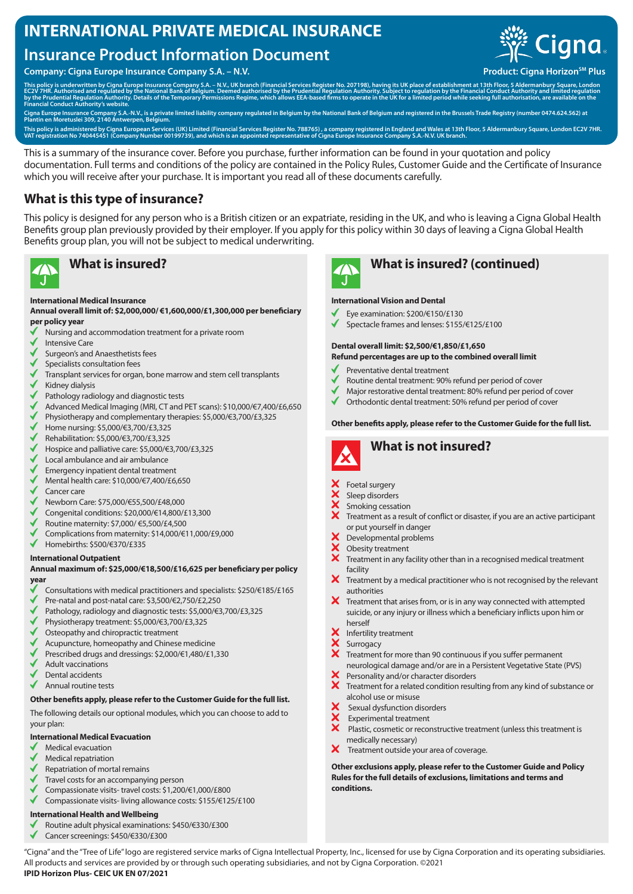# **INTERNATIONAL PRIVATE MEDICAL INSURANCE**

# **Insurance Product Information Document**

**Company: Cigna Europe Insurance Company S.A. – N.V. Product: Cigna Horizon<sup>SM</sup> Plus** 



This policy is underwritten by Cigna Europe Insurance Company S.A. – N.V., UK branch (Financial Services Register No. 207198), having its UK place of establishment at 13th Floor, 5 Aldermanbury Square, London<br>EC2V 7HR. Aut

Cigna Europe Insurance Company S.A.-N.V., is a private limited liability company regulated in Belgium by the National Bank of Belgium and registered in the Brussels Trade Registry (number 0474.624.562) at<br>Plantin en Moretu

This policy is administered by Cigna European Services (UK) Limited (Financial Services Register No. 788765) , a company registered in England and Wales at 13th Floor, 5 Aldermanbury Square, London EC2V 7HR.<br>VAT registrati

This is a summary of the insurance cover. Before you purchase, further information can be found in your quotation and policy documentation. Full terms and conditions of the policy are contained in the Policy Rules, Customer Guide and the Certificate of Insurance which you will receive after your purchase. It is important you read all of these documents carefully.

## **What is this type of insurance?**

This policy is designed for any person who is a British citizen or an expatriate, residing in the UK, and who is leaving a Cigna Global Health Benefits group plan previously provided by their employer. If you apply for this policy within 30 days of leaving a Cigna Global Health Benefits group plan, you will not be subject to medical underwriting.



### **International Medical Insurance**

**Annual overall limit of: \$2,000,000/ €1,600,000/£1,300,000 per beneficiary per policy year**

- Nursing and accommodation treatment for a private room
- Intensive Care
- Surgeon's and Anaesthetists fees
- Specialists consultation fees
- Transplant services for organ, bone marrow and stem cell transplants
- Kidney dialysis
- Pathology radiology and diagnostic tests
- Advanced Medical Imaging (MRI, CT and PET scans): \$10,000/€7,400/£6,650
- Physiotherapy and complementary therapies: \$5,000/€3,700/£3,325
- Home nursing: \$5,000/€3,700/£3,325
- Rehabilitation: \$5,000/€3,700/£3,325
- $\checkmark$ Hospice and palliative care: \$5,000/€3,700/£3,325
- Local ambulance and air ambulance
- Emergency inpatient dental treatment
- Mental health care: \$10,000/€7,400/£6,650
- Cancer care
- Newborn Care: \$75,000/€55,500/£48,000
- Congenital conditions: \$20,000/€14,800/£13,300
- Routine maternity: \$7,000/ €5,500/£4,500
- Complications from maternity: \$14,000/€11,000/£9,000
- Homebirths: \$500/€370/£335

### **International Outpatient**

### **Annual maximum of: \$25,000/€18,500/£16,625 per beneficiary per policy year**

- Consultations with medical practitioners and specialists: \$250/€185/£165
- Pre-natal and post-natal care: \$3,500/€2,750/£2,250
- Pathology, radiology and diagnostic tests: \$5,000/€3,700/£3,325
- Physiotherapy treatment: \$5,000/€3,700/£3,325
- Osteopathy and chiropractic treatment
- Acupuncture, homeopathy and Chinese medicine
- Prescribed drugs and dressings: \$2,000/€1,480/£1,330
- Adult vaccinations
- Dental accidents
- Annual routine tests

### **Other benefits apply, please refer to the Customer Guide for the full list.**

The following details our optional modules, which you can choose to add to your plan:

### **International Medical Evacuation**

- Medical evacuation
- Medical repatriation
- Repatriation of mortal remains
- Travel costs for an accompanying person
- Compassionate visits- travel costs: \$1,200/€1,000/£800
- Compassionate visits- living allowance costs: \$155/€125/£100

### **International Health and Wellbeing**

- Routine adult physical examinations: \$450/€330/£300
- ✔ Cancer screenings: \$450/€330/£300



# **What is insured? What is insured? (continued)**

### **International Vision and Dental**

- Eye examination: \$200/€150/£130
	- Spectacle frames and lenses: \$155/€125/£100

# **Dental overall limit: \$2,500/€1,850/£1,650**

- **Refund percentages are up to the combined overall limit**
- Preventative dental treatment
- Routine dental treatment: 90% refund per period of cover
- Major restorative dental treatment: 80% refund per period of cover
- Orthodontic dental treatment: 50% refund per period of cover

### **Other benefits apply, please refer to the Customer Guide for the full list.**



# **What is not insured?**

- Foetal surgery
- Sleep disorders
- Smoking cessation
	- Treatment as a result of conflict or disaster, if you are an active participant or put yourself in danger
- Developmental problems
- Obesity treatment
- $\overline{\mathbf{x}}$ Treatment in any facility other than in a recognised medical treatment facility
- $\bm{X}$  Treatment by a medical practitioner who is not recognised by the relevant authorities
- $\boldsymbol{X}$  Treatment that arises from, or is in any way connected with attempted suicide, or any injury or illness which a beneficiary inflicts upon him or herself
- Infertility treatment
- **Surrogacy**
- $\boldsymbol{\mathsf{x}}$ Treatment for more than 90 continuous if you suffer permanent neurological damage and/or are in a Persistent Vegetative State (PVS)
- Personality and/or character disorders
- **X** Personality dilayor character sisonsers<br>**X** Treatment for a related condition resulting from any kind of substance or alcohol use or misuse
- Sexual dysfunction disorders
- Experimental treatment
- $\bf\hat{x}$  Plastic, cosmetic or reconstructive treatment (unless this treatment is medically necessary)
- $\mathsf{x}$ Treatment outside your area of coverage.

**Other exclusions apply, please refer to the Customer Guide and Policy Rules for the full details of exclusions, limitations and terms and conditions.**

"Cigna" and the "Tree of Life" logo are registered service marks of Cigna Intellectual Property, Inc., licensed for use by Cigna Corporation and its operating subsidiaries. All products and services are provided by or through such operating subsidiaries, and not by Cigna Corporation. ©2021 **IPID Horizon Plus- CEIC UK EN 07/2021**